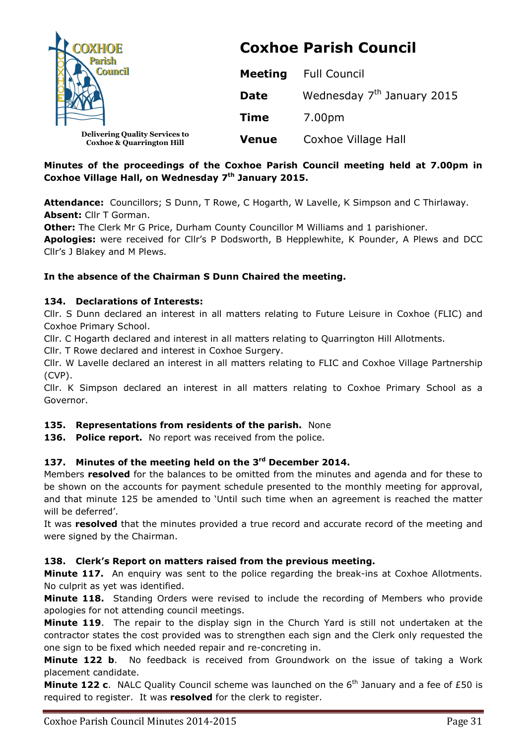| <b>COXHOE</b>                                                                 | <b>Coxhoe Parish Council</b> |                                        |  |
|-------------------------------------------------------------------------------|------------------------------|----------------------------------------|--|
| <b>Council</b>                                                                | <b>Meeting</b>               | <b>Full Council</b>                    |  |
|                                                                               | <b>Date</b>                  | Wednesday 7 <sup>th</sup> January 2015 |  |
|                                                                               | <b>Time</b>                  | 7.00pm                                 |  |
| <b>Delivering Quality Services to</b><br><b>Coxhoe &amp; Quarrington Hill</b> | <b>Venue</b>                 | Coxhoe Village Hall                    |  |

# **Minutes of the proceedings of the Coxhoe Parish Council meeting held at 7.00pm in Coxhoe Village Hall, on Wednesday 7th January 2015.**

**Attendance:** Councillors; S Dunn, T Rowe, C Hogarth, W Lavelle, K Simpson and C Thirlaway. **Absent:** Cllr T Gorman.

**Other:** The Clerk Mr G Price, Durham County Councillor M Williams and 1 parishioner.

**Apologies:** were received for Cllr's P Dodsworth, B Hepplewhite, K Pounder, A Plews and DCC Cllr's J Blakey and M Plews.

# **In the absence of the Chairman S Dunn Chaired the meeting.**

# **134. Declarations of Interests:**

Cllr. S Dunn declared an interest in all matters relating to Future Leisure in Coxhoe (FLIC) and Coxhoe Primary School.

Cllr. C Hogarth declared and interest in all matters relating to Quarrington Hill Allotments.

Cllr. T Rowe declared and interest in Coxhoe Surgery.

Cllr. W Lavelle declared an interest in all matters relating to FLIC and Coxhoe Village Partnership (CVP).

Cllr. K Simpson declared an interest in all matters relating to Coxhoe Primary School as a Governor.

# **135. Representations from residents of the parish.** None

136. Police report. No report was received from the police.

# **137. Minutes of the meeting held on the 3rd December 2014.**

Members **resolved** for the balances to be omitted from the minutes and agenda and for these to be shown on the accounts for payment schedule presented to the monthly meeting for approval, and that minute 125 be amended to 'Until such time when an agreement is reached the matter will be deferred'.

It was **resolved** that the minutes provided a true record and accurate record of the meeting and were signed by the Chairman.

# **138. Clerk's Report on matters raised from the previous meeting.**

**Minute 117.** An enguiry was sent to the police regarding the break-ins at Coxhoe Allotments. No culprit as yet was identified.

**Minute 118.** Standing Orders were revised to include the recording of Members who provide apologies for not attending council meetings.

**Minute 119**. The repair to the display sign in the Church Yard is still not undertaken at the contractor states the cost provided was to strengthen each sign and the Clerk only requested the one sign to be fixed which needed repair and re-concreting in.

**Minute 122 b**. No feedback is received from Groundwork on the issue of taking a Work placement candidate.

**Minute 122 c.** NALC Quality Council scheme was launched on the 6<sup>th</sup> January and a fee of £50 is required to register. It was **resolved** for the clerk to register.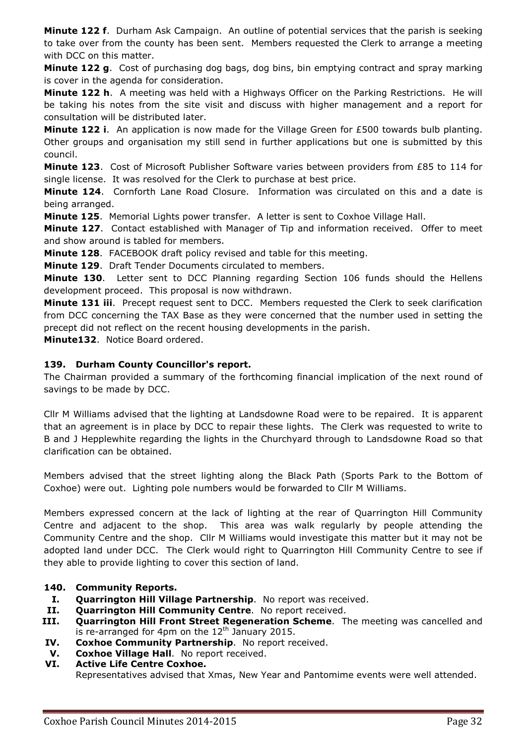**Minute 122 f**. Durham Ask Campaign. An outline of potential services that the parish is seeking to take over from the county has been sent. Members requested the Clerk to arrange a meeting with DCC on this matter.

**Minute 122 g**. Cost of purchasing dog bags, dog bins, bin emptying contract and spray marking is cover in the agenda for consideration.

**Minute 122 h**. A meeting was held with a Highways Officer on the Parking Restrictions. He will be taking his notes from the site visit and discuss with higher management and a report for consultation will be distributed later.

**Minute 122 i**. An application is now made for the Village Green for £500 towards bulb planting. Other groups and organisation my still send in further applications but one is submitted by this council.

**Minute 123**. Cost of Microsoft Publisher Software varies between providers from £85 to 114 for single license. It was resolved for the Clerk to purchase at best price.

**Minute 124**. Cornforth Lane Road Closure. Information was circulated on this and a date is being arranged.

**Minute 125**. Memorial Lights power transfer. A letter is sent to Coxhoe Village Hall.

**Minute 127**. Contact established with Manager of Tip and information received. Offer to meet and show around is tabled for members.

**Minute 128**. FACEBOOK draft policy revised and table for this meeting.

**Minute 129**. Draft Tender Documents circulated to members.

**Minute 130**. Letter sent to DCC Planning regarding Section 106 funds should the Hellens development proceed. This proposal is now withdrawn.

**Minute 131 iii**. Precept request sent to DCC. Members requested the Clerk to seek clarification from DCC concerning the TAX Base as they were concerned that the number used in setting the precept did not reflect on the recent housing developments in the parish.

**Minute132**. Notice Board ordered.

# **139. Durham County Councillor's report.**

The Chairman provided a summary of the forthcoming financial implication of the next round of savings to be made by DCC.

Cllr M Williams advised that the lighting at Landsdowne Road were to be repaired. It is apparent that an agreement is in place by DCC to repair these lights. The Clerk was requested to write to B and J Hepplewhite regarding the lights in the Churchyard through to Landsdowne Road so that clarification can be obtained.

Members advised that the street lighting along the Black Path (Sports Park to the Bottom of Coxhoe) were out. Lighting pole numbers would be forwarded to Cllr M Williams.

Members expressed concern at the lack of lighting at the rear of Quarrington Hill Community Centre and adjacent to the shop. This area was walk regularly by people attending the Community Centre and the shop. Cllr M Williams would investigate this matter but it may not be adopted land under DCC. The Clerk would right to Quarrington Hill Community Centre to see if they able to provide lighting to cover this section of land.

# **140. Community Reports.**

- **I. Quarrington Hill Village Partnership**. No report was received.
- **II. Quarrington Hill Community Centre**. No report received.
- **III. Quarrington Hill Front Street Regeneration Scheme**. The meeting was cancelled and is re-arranged for 4pm on the  $12<sup>th</sup>$  January 2015.
- **IV. Coxhoe Community Partnership**. No report received.
- **V. Coxhoe Village Hall**. No report received.
- **VI. Active Life Centre Coxhoe.**  Representatives advised that Xmas, New Year and Pantomime events were well attended.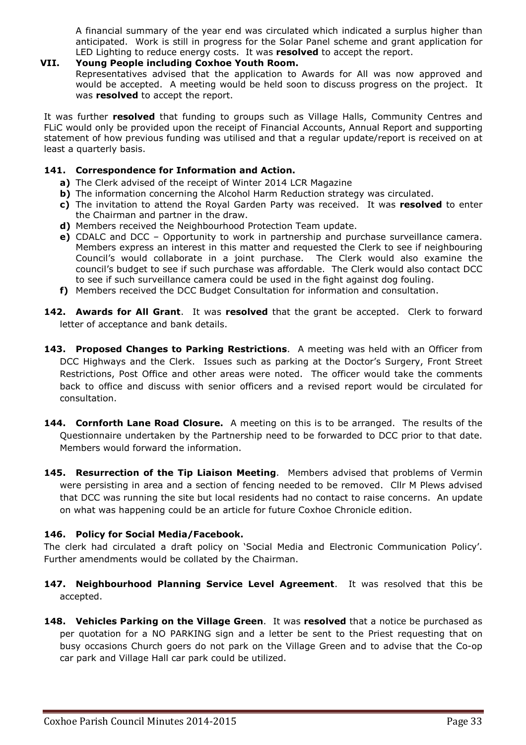A financial summary of the year end was circulated which indicated a surplus higher than anticipated. Work is still in progress for the Solar Panel scheme and grant application for LED Lighting to reduce energy costs. It was **resolved** to accept the report.

#### **VII. Young People including Coxhoe Youth Room.**

Representatives advised that the application to Awards for All was now approved and would be accepted. A meeting would be held soon to discuss progress on the project. It was **resolved** to accept the report.

It was further **resolved** that funding to groups such as Village Halls, Community Centres and FLiC would only be provided upon the receipt of Financial Accounts, Annual Report and supporting statement of how previous funding was utilised and that a regular update/report is received on at least a quarterly basis.

#### **141. Correspondence for Information and Action.**

- **a)** The Clerk advised of the receipt of Winter 2014 LCR Magazine
- **b)** The information concerning the Alcohol Harm Reduction strategy was circulated.
- **c)** The invitation to attend the Royal Garden Party was received. It was **resolved** to enter the Chairman and partner in the draw.
- **d)** Members received the Neighbourhood Protection Team update.
- **e)** CDALC and DCC Opportunity to work in partnership and purchase surveillance camera. Members express an interest in this matter and requested the Clerk to see if neighbouring Council's would collaborate in a joint purchase. The Clerk would also examine the council's budget to see if such purchase was affordable. The Clerk would also contact DCC to see if such surveillance camera could be used in the fight against dog fouling.
- **f)** Members received the DCC Budget Consultation for information and consultation.
- **142. Awards for All Grant**. It was **resolved** that the grant be accepted. Clerk to forward letter of acceptance and bank details.
- **143. Proposed Changes to Parking Restrictions**. A meeting was held with an Officer from DCC Highways and the Clerk. Issues such as parking at the Doctor's Surgery, Front Street Restrictions, Post Office and other areas were noted. The officer would take the comments back to office and discuss with senior officers and a revised report would be circulated for consultation.
- **144. Cornforth Lane Road Closure.** A meeting on this is to be arranged. The results of the Questionnaire undertaken by the Partnership need to be forwarded to DCC prior to that date. Members would forward the information.
- **145. Resurrection of the Tip Liaison Meeting**. Members advised that problems of Vermin were persisting in area and a section of fencing needed to be removed. Cllr M Plews advised that DCC was running the site but local residents had no contact to raise concerns. An update on what was happening could be an article for future Coxhoe Chronicle edition.

# **146. Policy for Social Media/Facebook.**

The clerk had circulated a draft policy on 'Social Media and Electronic Communication Policy'. Further amendments would be collated by the Chairman.

- **147. Neighbourhood Planning Service Level Agreement**. It was resolved that this be accepted.
- **148. Vehicles Parking on the Village Green**. It was **resolved** that a notice be purchased as per quotation for a NO PARKING sign and a letter be sent to the Priest requesting that on busy occasions Church goers do not park on the Village Green and to advise that the Co-op car park and Village Hall car park could be utilized.